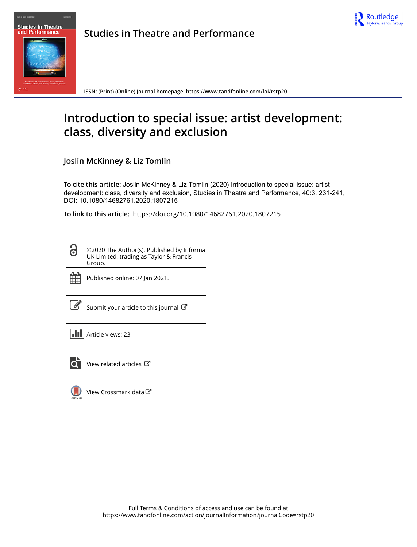



**Studies in Theatre and Performance**

**ISSN: (Print) (Online) Journal homepage:<https://www.tandfonline.com/loi/rstp20>**

# **Introduction to special issue: artist development: class, diversity and exclusion**

**Joslin McKinney & Liz Tomlin**

**To cite this article:** Joslin McKinney & Liz Tomlin (2020) Introduction to special issue: artist development: class, diversity and exclusion, Studies in Theatre and Performance, 40:3, 231-241, DOI: [10.1080/14682761.2020.1807215](https://www.tandfonline.com/action/showCitFormats?doi=10.1080/14682761.2020.1807215)

**To link to this article:** <https://doi.org/10.1080/14682761.2020.1807215>

©2020 The Author(s). Published by Informa UK Limited, trading as Taylor & Francis Group.



ര

Published online: 07 Jan 2021.

|--|

[Submit your article to this journal](https://www.tandfonline.com/action/authorSubmission?journalCode=rstp20&show=instructions)  $\mathbb{Z}$ 

**III** Article views: 23



 $\overline{Q}$  [View related articles](https://www.tandfonline.com/doi/mlt/10.1080/14682761.2020.1807215)  $\overline{C}$ 

[View Crossmark data](http://crossmark.crossref.org/dialog/?doi=10.1080/14682761.2020.1807215&domain=pdf&date_stamp=2021-01-07)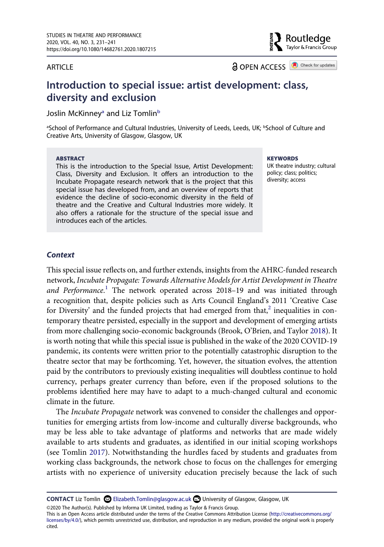#### ARTICLE

**a** OPEN ACCESS **a** Check for updates

Routledge Taylor & Francis Group

# **Introduction to special issue: artist development: class, diversity and exclusion**

Joslin McKinney<sup>a</sup> and Liz Tomlin<sup>[b](#page-1-0)</sup>

<span id="page-1-0"></span>aSchool of Performance and Cultural Industries, University of Leeds, Leeds, UK; <sup>b</sup>School of Culture and Creative Arts, University of Glasgow, Glasgow, UK

#### **ABSTRACT**

This is the introduction to the Special Issue, Artist Development: Class, Diversity and Exclusion. It offers an introduction to the Incubate Propagate research network that is the project that this special issue has developed from, and an overview of reports that evidence the decline of socio-economic diversity in the field of theatre and the Creative and Cultural Industries more widely. It also offers a rationale for the structure of the special issue and introduces each of the articles.

**KEYWORDS** 

UK theatre industry; cultural policy; class; politics; diversity; access

#### *Context*

<span id="page-1-1"></span>This special issue reflects on, and further extends, insights from the AHRC-funded research network, *Incubate Propagate: Towards Alternative Models for Artist Development in Theatre*  and Performance.<sup>1</sup> The network operated across 2018-19 and was initiated through a recognition that, despite policies such as Arts Council England's 2011 'Creative Case for Diversity' and the funded projects that had emerged from that, $2$  inequalities in contemporary theatre persisted, especially in the support and development of emerging artists from more challenging socio-economic backgrounds (Brook, O'Brien, and Taylor [2018](#page-11-0)). It is worth noting that while this special issue is published in the wake of the 2020 COVID-19 pandemic, its contents were written prior to the potentially catastrophic disruption to the theatre sector that may be forthcoming. Yet, however, the situation evolves, the attention paid by the contributors to previously existing inequalities will doubtless continue to hold currency, perhaps greater currency than before, even if the proposed solutions to the problems identified here may have to adapt to a much-changed cultural and economic climate in the future.

<span id="page-1-2"></span>The *Incubate Propagate* network was convened to consider the challenges and opportunities for emerging artists from low-income and culturally diverse backgrounds, who may be less able to take advantage of platforms and networks that are made widely available to arts students and graduates, as identified in our initial scoping workshops (see Tomlin [2017](#page-11-1)). Notwithstanding the hurdles faced by students and graduates from working class backgrounds, the network chose to focus on the challenges for emerging artists with no experience of university education precisely because the lack of such

©2020 The Author(s). Published by Informa UK Limited, trading as Taylor & Francis Group.

This is an Open Access article distributed under the terms of the Creative Commons Attribution License (http://creativecommons.org/ licenses/by/4.0/), which permits unrestricted use, distribution, and reproduction in any medium, provided the original work is properly cited.

**CONTACT** Liz Tomlin Elizabeth.Tomlin@glasgow.ac.uk University of Glasgow, Glasgow, UK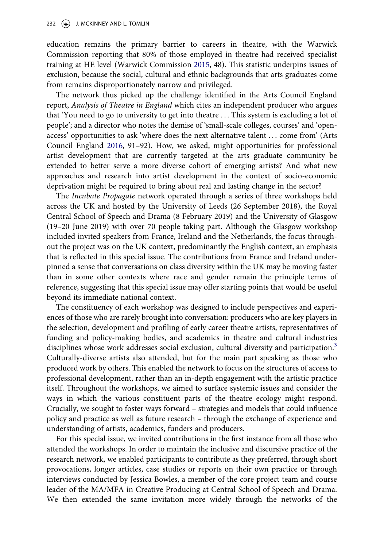<span id="page-2-1"></span>education remains the primary barrier to careers in theatre, with the Warwick Commission reporting that 80% of those employed in theatre had received specialist training at HE level (Warwick Commission [2015](#page-11-2), 48). This statistic underpins issues of exclusion, because the social, cultural and ethnic backgrounds that arts graduates come from remains disproportionately narrow and privileged.

<span id="page-2-0"></span>The network thus picked up the challenge identified in the Arts Council England report, *Analysis of Theatre in England* which cites an independent producer who argues that 'You need to go to university to get into theatre . . . This system is excluding a lot of people'; and a director who notes the demise of 'small-scale colleges, courses' and 'openaccess' opportunities to ask 'where does the next alternative talent . . . come from' (Arts Council England [2016,](#page-11-3) 91–92). How, we asked, might opportunities for professional artist development that are currently targeted at the arts graduate community be extended to better serve a more diverse cohort of emerging artists? And what new approaches and research into artist development in the context of socio-economic deprivation might be required to bring about real and lasting change in the sector?

The *Incubate Propagate* network operated through a series of three workshops held across the UK and hosted by the University of Leeds (26 September 2018), the Royal Central School of Speech and Drama (8 February 2019) and the University of Glasgow (19–20 June 2019) with over 70 people taking part. Although the Glasgow workshop included invited speakers from France, Ireland and the Netherlands, the focus throughout the project was on the UK context, predominantly the English context, an emphasis that is reflected in this special issue. The contributions from France and Ireland underpinned a sense that conversations on class diversity within the UK may be moving faster than in some other contexts where race and gender remain the principle terms of reference, suggesting that this special issue may offer starting points that would be useful beyond its immediate national context.

The constituency of each workshop was designed to include perspectives and experiences of those who are rarely brought into conversation: producers who are key players in the selection, development and profiling of early career theatre artists, representatives of funding and policy-making bodies, and academics in theatre and cultural industries disciplines whose work addresses social exclusion, cultural diversity and participation.<sup>3</sup> Culturally-diverse artists also attended, but for the main part speaking as those who produced work by others. This enabled the network to focus on the structures of access to professional development, rather than an in-depth engagement with the artistic practice itself. Throughout the workshops, we aimed to surface systemic issues and consider the ways in which the various constituent parts of the theatre ecology might respond. Crucially, we sought to foster ways forward – strategies and models that could influence policy and practice as well as future research – through the exchange of experience and understanding of artists, academics, funders and producers.

For this special issue, we invited contributions in the first instance from all those who attended the workshops. In order to maintain the inclusive and discursive practice of the research network, we enabled participants to contribute as they preferred, through short provocations, longer articles, case studies or reports on their own practice or through interviews conducted by Jessica Bowles, a member of the core project team and course leader of the MA/MFA in Creative Producing at Central School of Speech and Drama. We then extended the same invitation more widely through the networks of the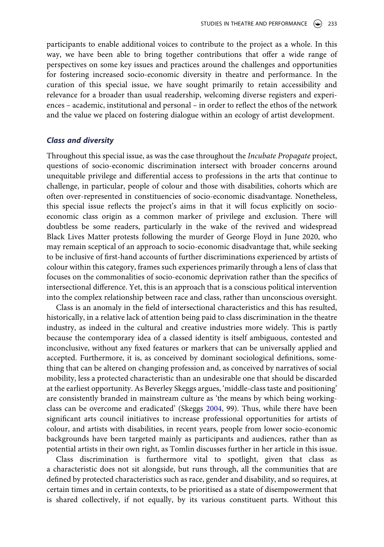participants to enable additional voices to contribute to the project as a whole. In this way, we have been able to bring together contributions that offer a wide range of perspectives on some key issues and practices around the challenges and opportunities for fostering increased socio-economic diversity in theatre and performance. In the curation of this special issue, we have sought primarily to retain accessibility and relevance for a broader than usual readership, welcoming diverse registers and experiences – academic, institutional and personal – in order to reflect the ethos of the network and the value we placed on fostering dialogue within an ecology of artist development.

#### *Class and diversity*

Throughout this special issue, as was the case throughout the *Incubate Propagate* project, questions of socio-economic discrimination intersect with broader concerns around unequitable privilege and differential access to professions in the arts that continue to challenge, in particular, people of colour and those with disabilities, cohorts which are often over-represented in constituencies of socio-economic disadvantage. Nonetheless, this special issue reflects the project's aims in that it will focus explicitly on socioeconomic class origin as a common marker of privilege and exclusion. There will doubtless be some readers, particularly in the wake of the revived and widespread Black Lives Matter protests following the murder of George Floyd in June 2020, who may remain sceptical of an approach to socio-economic disadvantage that, while seeking to be inclusive of first-hand accounts of further discriminations experienced by artists of colour within this category, frames such experiences primarily through a lens of class that focuses on the commonalities of socio-economic deprivation rather than the specifics of intersectional difference. Yet, this is an approach that is a conscious political intervention into the complex relationship between race and class, rather than unconscious oversight.

Class is an anomaly in the field of intersectional characteristics and this has resulted, historically, in a relative lack of attention being paid to class discrimination in the theatre industry, as indeed in the cultural and creative industries more widely. This is partly because the contemporary idea of a classed identity is itself ambiguous, contested and inconclusive, without any fixed features or markers that can be universally applied and accepted. Furthermore, it is, as conceived by dominant sociological definitions, something that can be altered on changing profession and, as conceived by narratives of social mobility, less a protected characteristic than an undesirable one that should be discarded at the earliest opportunity. As Beverley Skeggs argues, 'middle-class taste and positioning' are consistently branded in mainstream culture as 'the means by which being workingclass can be overcome and eradicated' (Skeggs [2004,](#page-11-4) 99). Thus, while there have been significant arts council initiatives to increase professional opportunities for artists of colour, and artists with disabilities, in recent years, people from lower socio-economic backgrounds have been targeted mainly as participants and audiences, rather than as potential artists in their own right, as Tomlin discusses further in her article in this issue.

<span id="page-3-0"></span>Class discrimination is furthermore vital to spotlight, given that class as a characteristic does not sit alongside, but runs through, all the communities that are defined by protected characteristics such as race, gender and disability, and so requires, at certain times and in certain contexts, to be prioritised as a state of disempowerment that is shared collectively, if not equally, by its various constituent parts. Without this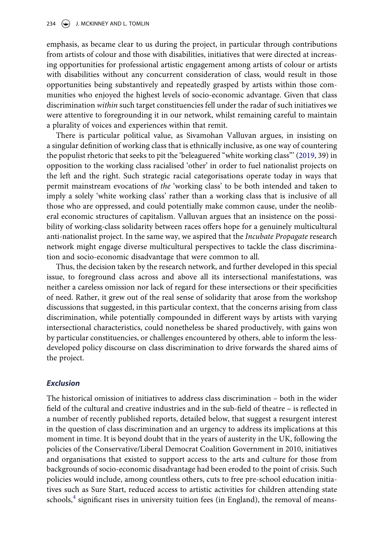emphasis, as became clear to us during the project, in particular through contributions from artists of colour and those with disabilities, initiatives that were directed at increasing opportunities for professional artistic engagement among artists of colour or artists with disabilities without any concurrent consideration of class, would result in those opportunities being substantively and repeatedly grasped by artists within those communities who enjoyed the highest levels of socio-economic advantage. Given that class discrimination *within* such target constituencies fell under the radar of such initiatives we were attentive to foregrounding it in our network, whilst remaining careful to maintain a plurality of voices and experiences within that remit.

<span id="page-4-0"></span>There is particular political value, as Sivamohan Valluvan argues, in insisting on a singular definition of working class that is ethnically inclusive, as one way of countering the populist rhetoric that seeks to pit the 'beleaguered "white working class"' [\(2019](#page-11-5), 39) in opposition to the working class racialised 'other' in order to fuel nationalist projects on the left and the right. Such strategic racial categorisations operate today in ways that permit mainstream evocations of *the* 'working class' to be both intended and taken to imply a solely 'white working class' rather than a working class that is inclusive of all those who are oppressed, and could potentially make common cause, under the neoliberal economic structures of capitalism. Valluvan argues that an insistence on the possibility of working-class solidarity between races offers hope for a genuinely multicultural anti-nationalist project. In the same way, we aspired that the *Incubate Propagate* research network might engage diverse multicultural perspectives to tackle the class discrimination and socio-economic disadvantage that were common to all.

Thus, the decision taken by the research network, and further developed in this special issue, to foreground class across and above all its intersectional manifestations, was neither a careless omission nor lack of regard for these intersections or their specificities of need. Rather, it grew out of the real sense of solidarity that arose from the workshop discussions that suggested, in this particular context, that the concerns arising from class discrimination, while potentially compounded in different ways by artists with varying intersectional characteristics, could nonetheless be shared productively, with gains won by particular constituencies, or challenges encountered by others, able to inform the lessdeveloped policy discourse on class discrimination to drive forwards the shared aims of the project.

### *Exclusion*

The historical omission of initiatives to address class discrimination – both in the wider field of the cultural and creative industries and in the sub-field of theatre – is reflected in a number of recently published reports, detailed below, that suggest a resurgent interest in the question of class discrimination and an urgency to address its implications at this moment in time. It is beyond doubt that in the years of austerity in the UK, following the policies of the Conservative/Liberal Democrat Coalition Government in 2010, initiatives and organisations that existed to support access to the arts and culture for those from backgrounds of socio-economic disadvantage had been eroded to the point of crisis. Such policies would include, among countless others, cuts to free pre-school education initiatives such as Sure Start, reduced access to artistic activities for children attending state schools, $<sup>4</sup>$  $<sup>4</sup>$  $<sup>4</sup>$  significant rises in university tuition fees (in England), the removal of means-</sup>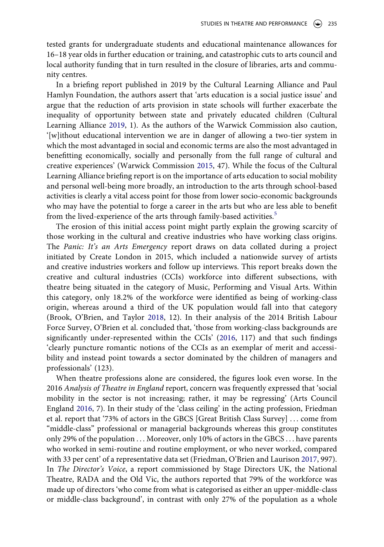tested grants for undergraduate students and educational maintenance allowances for 16–18 year olds in further education or training, and catastrophic cuts to arts council and local authority funding that in turn resulted in the closure of libraries, arts and community centres.

<span id="page-5-0"></span>In a briefing report published in 2019 by the Cultural Learning Alliance and Paul Hamlyn Foundation, the authors assert that 'arts education is a social justice issue' and argue that the reduction of arts provision in state schools will further exacerbate the inequality of opportunity between state and privately educated children (Cultural Learning Alliance [2019](#page-11-6), 1). As the authors of the Warwick Commission also caution, '[w]ithout educational intervention we are in danger of allowing a two-tier system in which the most advantaged in social and economic terms are also the most advantaged in benefitting economically, socially and personally from the full range of cultural and creative experiences' (Warwick Commission [2015](#page-11-2), 47). While the focus of the Cultural Learning Alliance briefing report is on the importance of arts education to social mobility and personal well-being more broadly, an introduction to the arts through school-based activities is clearly a vital access point for those from lower socio-economic backgrounds who may have the potential to forge a career in the arts but who are less able to benefit from the lived-experience of the arts through family-based activities.<sup>[5](#page-10-3)</sup>

The erosion of this initial access point might partly explain the growing scarcity of those working in the cultural and creative industries who have working class origins. The *Panic: It's an Arts Emergency* report draws on data collated during a project initiated by Create London in 2015, which included a nationwide survey of artists and creative industries workers and follow up interviews. This report breaks down the creative and cultural industries (CCIs) workforce into different subsections, with theatre being situated in the category of Music, Performing and Visual Arts. Within this category, only 18.2% of the workforce were identified as being of working-class origin, whereas around a third of the UK population would fall into that category (Brook, O'Brien, and Taylor [2018](#page-11-0), 12). In their analysis of the 2014 British Labour Force Survey, O'Brien et al. concluded that, 'those from working-class backgrounds are significantly under-represented within the CCIs' ([2016](#page-11-7), 117) and that such findings 'clearly puncture romantic notions of the CCIs as an exemplar of merit and accessibility and instead point towards a sector dominated by the children of managers and professionals' (123).

<span id="page-5-2"></span><span id="page-5-1"></span>When theatre professions alone are considered, the figures look even worse. In the 2016 *Analysis of Theatre in England* report, concern was frequently expressed that 'social mobility in the sector is not increasing; rather, it may be regressing' (Arts Council England [2016](#page-11-3), 7). In their study of the 'class ceiling' in the acting profession, Friedman et al. report that '73% of actors in the GBCS [Great British Class Survey] . . . come from "middle-class" professional or managerial backgrounds whereas this group constitutes only 29% of the population . . . Moreover, only 10% of actors in the GBCS . . . have parents who worked in semi-routine and routine employment, or who never worked, compared with 33 per cent' of a representative data set (Friedman, O'Brien and Laurison [2017](#page-11-8), 997). In *The Director's Voice*, a report commissioned by Stage Directors UK, the National Theatre, RADA and the Old Vic, the authors reported that 79% of the workforce was made up of directors 'who come from what is categorised as either an upper-middle-class or middle-class background', in contrast with only 27% of the population as a whole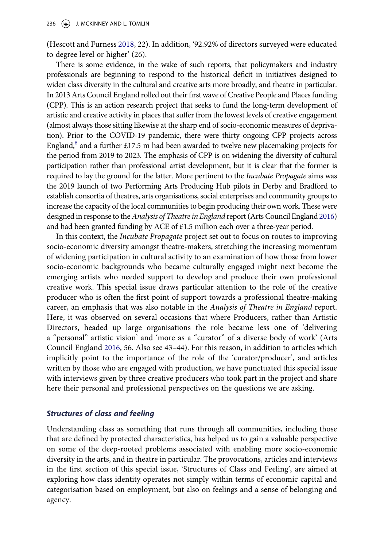<span id="page-6-0"></span>(Hescott and Furness [2018](#page-11-9), 22). In addition, '92.92% of directors surveyed were educated to degree level or higher' (26).

There is some evidence, in the wake of such reports, that policymakers and industry professionals are beginning to respond to the historical deficit in initiatives designed to widen class diversity in the cultural and creative arts more broadly, and theatre in particular. In 2013 Arts Council England rolled out their first wave of Creative People and Places funding (CPP). This is an action research project that seeks to fund the long-term development of artistic and creative activity in places that suffer from the lowest levels of creative engagement (almost always those sitting likewise at the sharp end of socio-economic measures of deprivation). Prior to the COVID-19 pandemic, there were thirty ongoing CPP projects across England,<sup>6</sup> and a further £17.5 m had been awarded to twelve new placemaking projects for the period from 2019 to 2023. The emphasis of CPP is on widening the diversity of cultural participation rather than professional artist development, but it is clear that the former is required to lay the ground for the latter. More pertinent to the *Incubate Propagate* aims was the 2019 launch of two Performing Arts Producing Hub pilots in Derby and Bradford to establish consortia of theatres, arts organisations, social enterprises and community groups to increase the capacity of the local communities to begin producing their own work. These were designed in response to the *Analysis of Theatre in England* report (Arts Council England [2016\)](#page-11-3) and had been granted funding by ACE of £1.5 million each over a three-year period.

In this context, the *Incubate Propagate* project set out to focus on routes to improving socio-economic diversity amongst theatre-makers, stretching the increasing momentum of widening participation in cultural activity to an examination of how those from lower socio-economic backgrounds who became culturally engaged might next become the emerging artists who needed support to develop and produce their own professional creative work. This special issue draws particular attention to the role of the creative producer who is often the first point of support towards a professional theatre-making career, an emphasis that was also notable in the *Analysis of Theatre in England* report. Here, it was observed on several occasions that where Producers, rather than Artistic Directors, headed up large organisations the role became less one of 'delivering a "personal" artistic vision' and 'more as a "curator" of a diverse body of work' (Arts Council England [2016](#page-11-3), 56. Also see 43–44). For this reason, in addition to articles which implicitly point to the importance of the role of the 'curator/producer', and articles written by those who are engaged with production, we have punctuated this special issue with interviews given by three creative producers who took part in the project and share here their personal and professional perspectives on the questions we are asking.

#### *Structures of class and feeling*

Understanding class as something that runs through all communities, including those that are defined by protected characteristics, has helped us to gain a valuable perspective on some of the deep-rooted problems associated with enabling more socio-economic diversity in the arts, and in theatre in particular. The provocations, articles and interviews in the first section of this special issue, 'Structures of Class and Feeling', are aimed at exploring how class identity operates not simply within terms of economic capital and categorisation based on employment, but also on feelings and a sense of belonging and agency.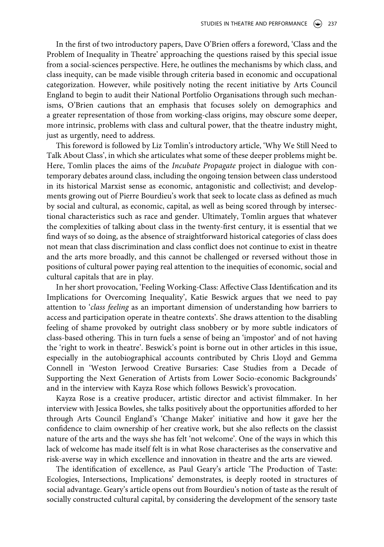In the first of two introductory papers, Dave O'Brien offers a foreword, 'Class and the Problem of Inequality in Theatre' approaching the questions raised by this special issue from a social-sciences perspective. Here, he outlines the mechanisms by which class, and class inequity, can be made visible through criteria based in economic and occupational categorization. However, while positively noting the recent initiative by Arts Council England to begin to audit their National Portfolio Organisations through such mechanisms, O'Brien cautions that an emphasis that focuses solely on demographics and a greater representation of those from working-class origins, may obscure some deeper, more intrinsic, problems with class and cultural power, that the theatre industry might, just as urgently, need to address.

This foreword is followed by Liz Tomlin's introductory article, 'Why We Still Need to Talk About Class', in which she articulates what some of these deeper problems might be. Here, Tomlin places the aims of the *Incubate Propagate* project in dialogue with contemporary debates around class, including the ongoing tension between class understood in its historical Marxist sense as economic, antagonistic and collectivist; and developments growing out of Pierre Bourdieu's work that seek to locate class as defined as much by social and cultural, as economic, capital, as well as being scored through by intersectional characteristics such as race and gender. Ultimately, Tomlin argues that whatever the complexities of talking about class in the twenty-first century, it is essential that we find ways of so doing, as the absence of straightforward historical categories of class does not mean that class discrimination and class conflict does not continue to exist in theatre and the arts more broadly, and this cannot be challenged or reversed without those in positions of cultural power paying real attention to the inequities of economic, social and cultural capitals that are in play.

In her short provocation, 'Feeling Working-Class: Affective Class Identification and its Implications for Overcoming Inequality', Katie Beswick argues that we need to pay attention to '*class feeling* as an important dimension of understanding how barriers to access and participation operate in theatre contexts'. She draws attention to the disabling feeling of shame provoked by outright class snobbery or by more subtle indicators of class-based othering. This in turn fuels a sense of being an 'impostor' and of not having the 'right to work in theatre'. Beswick's point is borne out in other articles in this issue, especially in the autobiographical accounts contributed by Chris Lloyd and Gemma Connell in 'Weston Jerwood Creative Bursaries: Case Studies from a Decade of Supporting the Next Generation of Artists from Lower Socio-economic Backgrounds' and in the interview with Kayza Rose which follows Beswick's provocation.

Kayza Rose is a creative producer, artistic director and activist filmmaker. In her interview with Jessica Bowles, she talks positively about the opportunities afforded to her through Arts Council England's 'Change Maker' initiative and how it gave her the confidence to claim ownership of her creative work, but she also reflects on the classist nature of the arts and the ways she has felt 'not welcome'. One of the ways in which this lack of welcome has made itself felt is in what Rose characterises as the conservative and risk-averse way in which excellence and innovation in theatre and the arts are viewed.

The identification of excellence, as Paul Geary's article 'The Production of Taste: Ecologies, Intersections, Implications' demonstrates, is deeply rooted in structures of social advantage. Geary's article opens out from Bourdieu's notion of taste as the result of socially constructed cultural capital, by considering the development of the sensory taste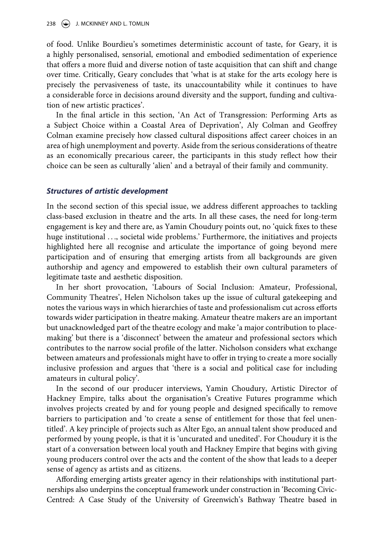of food. Unlike Bourdieu's sometimes deterministic account of taste, for Geary, it is a highly personalised, sensorial, emotional and embodied sedimentation of experience that offers a more fluid and diverse notion of taste acquisition that can shift and change over time. Critically, Geary concludes that 'what is at stake for the arts ecology here is precisely the pervasiveness of taste, its unaccountability while it continues to have a considerable force in decisions around diversity and the support, funding and cultivation of new artistic practices'.

In the final article in this section, 'An Act of Transgression: Performing Arts as a Subject Choice within a Coastal Area of Deprivation', Aly Colman and Geoffrey Colman examine precisely how classed cultural dispositions affect career choices in an area of high unemployment and poverty. Aside from the serious considerations of theatre as an economically precarious career, the participants in this study reflect how their choice can be seen as culturally 'alien' and a betrayal of their family and community.

#### *Structures of artistic development*

In the second section of this special issue, we address different approaches to tackling class-based exclusion in theatre and the arts. In all these cases, the need for long-term engagement is key and there are, as Yamin Choudury points out, no 'quick fixes to these huge institutional ..., societal wide problems.' Furthermore, the initiatives and projects highlighted here all recognise and articulate the importance of going beyond mere participation and of ensuring that emerging artists from all backgrounds are given authorship and agency and empowered to establish their own cultural parameters of legitimate taste and aesthetic disposition.

In her short provocation, 'Labours of Social Inclusion: Amateur, Professional, Community Theatres', Helen Nicholson takes up the issue of cultural gatekeeping and notes the various ways in which hierarchies of taste and professionalism cut across efforts towards wider participation in theatre making. Amateur theatre makers are an important but unacknowledged part of the theatre ecology and make 'a major contribution to placemaking' but there is a 'disconnect' between the amateur and professional sectors which contributes to the narrow social profile of the latter. Nicholson considers what exchange between amateurs and professionals might have to offer in trying to create a more socially inclusive profession and argues that 'there is a social and political case for including amateurs in cultural policy'.

In the second of our producer interviews, Yamin Choudury, Artistic Director of Hackney Empire, talks about the organisation's Creative Futures programme which involves projects created by and for young people and designed specifically to remove barriers to participation and 'to create a sense of entitlement for those that feel unentitled'. A key principle of projects such as Alter Ego, an annual talent show produced and performed by young people, is that it is 'uncurated and unedited'. For Choudury it is the start of a conversation between local youth and Hackney Empire that begins with giving young producers control over the acts and the content of the show that leads to a deeper sense of agency as artists and as citizens.

Affording emerging artists greater agency in their relationships with institutional partnerships also underpins the conceptual framework under construction in 'Becoming Civic-Centred: A Case Study of the University of Greenwich's Bathway Theatre based in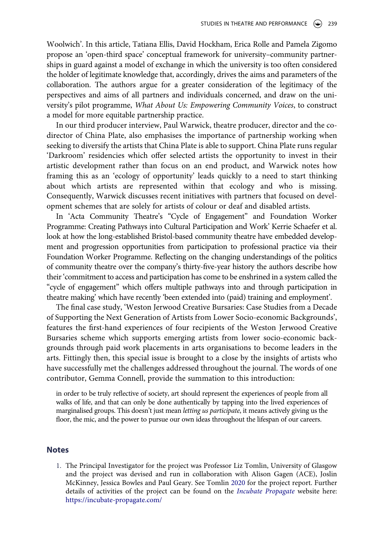Woolwich'. In this article, Tatiana Ellis, David Hockham, Erica Rolle and Pamela Zigomo propose an 'open-third space' conceptual framework for university–community partnerships in guard against a model of exchange in which the university is too often considered the holder of legitimate knowledge that, accordingly, drives the aims and parameters of the collaboration. The authors argue for a greater consideration of the legitimacy of the perspectives and aims of all partners and individuals concerned, and draw on the university's pilot programme, *What About Us: Empowering Community Voices*, to construct a model for more equitable partnership practice.

In our third producer interview, Paul Warwick, theatre producer, director and the codirector of China Plate, also emphasises the importance of partnership working when seeking to diversify the artists that China Plate is able to support. China Plate runs regular 'Darkroom' residencies which offer selected artists the opportunity to invest in their artistic development rather than focus on an end product, and Warwick notes how framing this as an 'ecology of opportunity' leads quickly to a need to start thinking about which artists are represented within that ecology and who is missing. Consequently, Warwick discusses recent initiatives with partners that focused on development schemes that are solely for artists of colour or deaf and disabled artists.

In 'Acta Community Theatre's "Cycle of Engagement" and Foundation Worker Programme: Creating Pathways into Cultural Participation and Work' Kerrie Schaefer et al. look at how the long-established Bristol-based community theatre have embedded development and progression opportunities from participation to professional practice via their Foundation Worker Programme. Reflecting on the changing understandings of the politics of community theatre over the company's thirty-five-year history the authors describe how their 'commitment to access and participation has come to be enshrined in a system called the "cycle of engagement" which offers multiple pathways into and through participation in theatre making' which have recently 'been extended into (paid) training and employment'.

The final case study, 'Weston Jerwood Creative Bursaries: Case Studies from a Decade of Supporting the Next Generation of Artists from Lower Socio-economic Backgrounds', features the first-hand experiences of four recipients of the Weston Jerwood Creative Bursaries scheme which supports emerging artists from lower socio-economic backgrounds through paid work placements in arts organisations to become leaders in the arts. Fittingly then, this special issue is brought to a close by the insights of artists who have successfully met the challenges addressed throughout the journal. The words of one contributor, Gemma Connell, provide the summation to this introduction:

in order to be truly reflective of society, art should represent the experiences of people from all walks of life, and that can only be done authentically by tapping into the lived experiences of marginalised groups. This doesn't just mean *letting us participate*, it means actively giving us the floor, the mic, and the power to pursue our own ideas throughout the lifespan of our careers.

#### **Notes**

<span id="page-9-2"></span><span id="page-9-1"></span><span id="page-9-0"></span>1. The Principal Investigator for the project was Professor Liz Tomlin, University of Glasgow and the project was devised and run in collaboration with Alison Gagen (ACE), Joslin McKinney, Jessica Bowles and Paul Geary. See Tomlin [2020](#page-11-10) for the project report. Further details of activities of the project can be found on the *[Incubate Propagate](#page-11-11)* website here: <https://incubate-propagate.com/>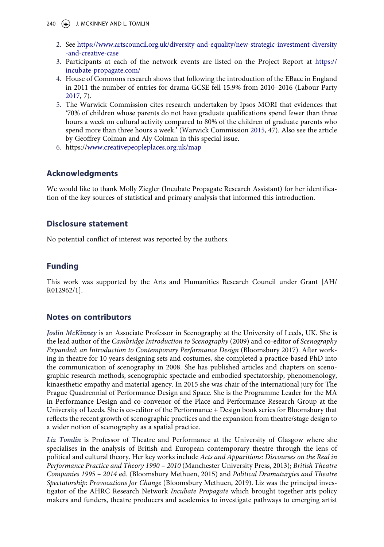- <span id="page-10-0"></span>2. See [https://www.artscouncil.org.uk/diversity-and-equality/new-strategic-investment-diversity](https://www.artscouncil.org.uk/diversity-and-equality/new-strategic-investment-diversity-and-creative-case) [-and-creative-case](https://www.artscouncil.org.uk/diversity-and-equality/new-strategic-investment-diversity-and-creative-case)
- <span id="page-10-1"></span>3. Participants at each of the network events are listed on the Project Report at [https://](https://incubate-propagate.com/) [incubate-propagate.com/](https://incubate-propagate.com/)
- <span id="page-10-5"></span><span id="page-10-2"></span>4. House of Commons research shows that following the introduction of the EBacc in England in 2011 the number of entries for drama GCSE fell 15.9% from 2010–2016 (Labour Party [2017,](#page-11-12) 7).
- <span id="page-10-3"></span>5. The Warwick Commission cites research undertaken by Ipsos MORI that evidences that '70% of children whose parents do not have graduate qualifications spend fewer than three hours a week on cultural activity compared to 80% of the children of graduate parents who spend more than three hours a week.' (Warwick Commission [2015](#page-11-2), 47). Also see the article by Geoffrey Colman and Aly Colman in this special issue.
- <span id="page-10-4"></span>6. https:/[/www.creativepeopleplaces.org.uk/map](http://www.creativepeopleplaces.org.uk/map)

# **Acknowledgments**

We would like to thank Molly Ziegler (Incubate Propagate Research Assistant) for her identification of the key sources of statistical and primary analysis that informed this introduction.

# **Disclosure statement**

No potential conflict of interest was reported by the authors.

# **Funding**

This work was supported by the Arts and Humanities Research Council under Grant [AH/ R012962/1].

# **Notes on contributors**

*Joslin McKinney* is an Associate Professor in Scenography at the University of Leeds, UK. She is the lead author of the *Cambridge Introduction to Scenography* (2009) and co-editor of *Scenography Expanded: an Introduction to Contemporary Performance Design* (Bloomsbury 2017). After working in theatre for 10 years designing sets and costumes, she completed a practice-based PhD into the communication of scenography in 2008. She has published articles and chapters on scenographic research methods, scenographic spectacle and embodied spectatorship, phenomenology, kinaesthetic empathy and material agency. In 2015 she was chair of the international jury for The Prague Quadrennial of Performance Design and Space. She is the Programme Leader for the MA in Performance Design and co-convenor of the Place and Performance Research Group at the University of Leeds. She is co-editor of the Performance + Design book series for Bloomsbury that reflects the recent growth of scenographic practices and the expansion from theatre/stage design to a wider notion of scenography as a spatial practice.

*Liz Tomlin* is Professor of Theatre and Performance at the University of Glasgow where she specialises in the analysis of British and European contemporary theatre through the lens of political and cultural theory. Her key works include *Acts and Apparitions: Discourses on the Real in Performance Practice and Theory 1990 – 2010* (Manchester University Press, 2013); *British Theatre Companies 1995 – 2014* ed. (Bloomsbury Methuen, 2015) and *Political Dramaturgies and Theatre Spectatorship: Provocations for Change* (Bloomsbury Methuen, 2019). Liz was the principal investigator of the AHRC Research Network *Incubate Propagate* which brought together arts policy makers and funders, theatre producers and academics to investigate pathways to emerging artist